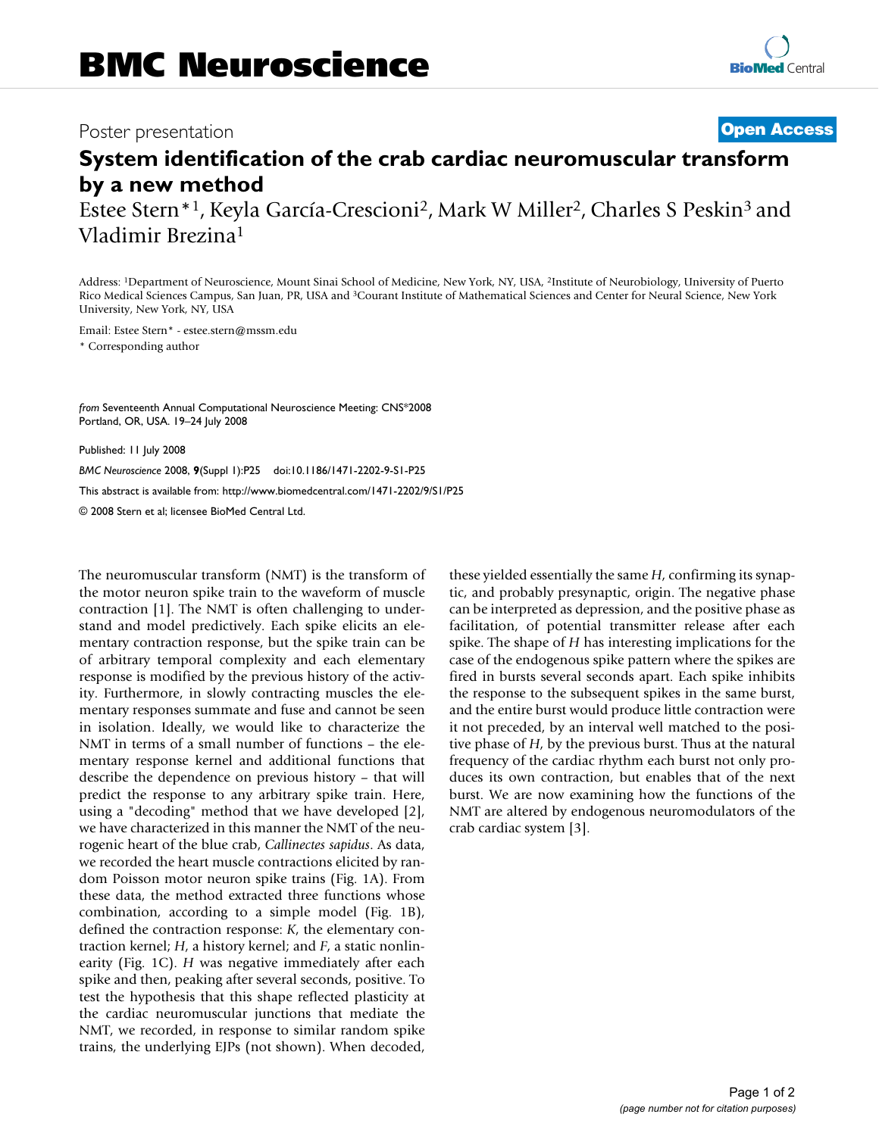## Poster presentation **Contract Contract Contract Contract Contract Contract Contract Contract Contract Contract Contract Contract Contract Contract Contract Contract Contract Contract Contract Contract Contract Contract Con**

# **System identification of the crab cardiac neuromuscular transform by a new method**

Estee Stern\*1, Keyla García-Crescioni2, Mark W Miller2, Charles S Peskin3 and Vladimir Brezina1

Address: 1Department of Neuroscience, Mount Sinai School of Medicine, New York, NY, USA, 2Institute of Neurobiology, University of Puerto Rico Medical Sciences Campus, San Juan, PR, USA and 3Courant Institute of Mathematical Sciences and Center for Neural Science, New York University, New York, NY, USA

Email: Estee Stern\* - estee.stern@mssm.edu

\* Corresponding author

*from* Seventeenth Annual Computational Neuroscience Meeting: CNS\*2008 Portland, OR, USA. 19–24 July 2008

Published: 11 July 2008

*BMC Neuroscience* 2008, **9**(Suppl 1):P25 doi:10.1186/1471-2202-9-S1-P25 [This abstract is available from: http://www.biomedcentral.com/1471-2202/9/S1/P25](http://www.biomedcentral.com/1471-2202/9/S1/P25) © 2008 Stern et al; licensee BioMed Central Ltd.

The neuromuscular transform (NMT) is the transform of the motor neuron spike train to the waveform of muscle contraction [1]. The NMT is often challenging to understand and model predictively. Each spike elicits an elementary contraction response, but the spike train can be of arbitrary temporal complexity and each elementary response is modified by the previous history of the activity. Furthermore, in slowly contracting muscles the elementary responses summate and fuse and cannot be seen in isolation. Ideally, we would like to characterize the NMT in terms of a small number of functions – the elementary response kernel and additional functions that describe the dependence on previous history – that will predict the response to any arbitrary spike train. Here, using a "decoding" method that we have developed [2], we have characterized in this manner the NMT of the neurogenic heart of the blue crab, *Callinectes sapidus*. As data, we recorded the heart muscle contractions elicited by random Poisson motor neuron spike trains (Fig. 1A). From these data, the method extracted three functions whose combination, according to a simple model (Fig. 1B), defined the contraction response: *K*, the elementary contraction kernel; *H*, a history kernel; and *F*, a static nonlinearity (Fig. 1C). *H* was negative immediately after each spike and then, peaking after several seconds, positive. To test the hypothesis that this shape reflected plasticity at the cardiac neuromuscular junctions that mediate the NMT, we recorded, in response to similar random spike trains, the underlying EJPs (not shown). When decoded, these yielded essentially the same *H*, confirming its synaptic, and probably presynaptic, origin. The negative phase can be interpreted as depression, and the positive phase as facilitation, of potential transmitter release after each spike. The shape of *H* has interesting implications for the case of the endogenous spike pattern where the spikes are fired in bursts several seconds apart. Each spike inhibits the response to the subsequent spikes in the same burst, and the entire burst would produce little contraction were it not preceded, by an interval well matched to the positive phase of *H*, by the previous burst. Thus at the natural frequency of the cardiac rhythm each burst not only produces its own contraction, but enables that of the next burst. We are now examining how the functions of the NMT are altered by endogenous neuromodulators of the crab cardiac system [3].